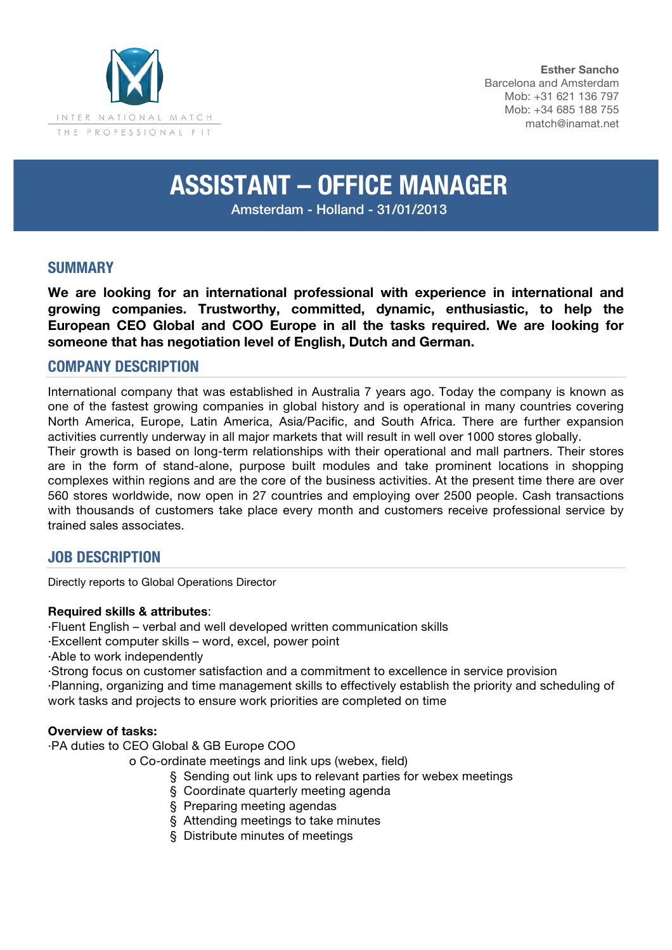

**Esther Sancho** Barcelona and Amsterdam Mob: +31 621 136 797 Mob: +34 685 188 755 match@inamat.net

# **ASSISTANT – OFFICE MANAGER**

Amsterdam - Holland - 31/01/2013

# **SUMMARY**

**We are looking for an international professional with experience in international and growing companies. Trustworthy, committed, dynamic, enthusiastic, to help the European CEO Global and COO Europe in all the tasks required. We are looking for someone that has negotiation level of English, Dutch and German.**

## **COMPANY DESCRIPTION**

International company that was established in Australia 7 years ago. Today the company is known as one of the fastest growing companies in global history and is operational in many countries covering North America, Europe, Latin America, Asia/Pacific, and South Africa. There are further expansion activities currently underway in all major markets that will result in well over 1000 stores globally.

Their growth is based on long-term relationships with their operational and mall partners. Their stores are in the form of stand-alone, purpose built modules and take prominent locations in shopping complexes within regions and are the core of the business activities. At the present time there are over 560 stores worldwide, now open in 27 countries and employing over 2500 people. Cash transactions with thousands of customers take place every month and customers receive professional service by trained sales associates.

## **JOB DESCRIPTION**

Directly reports to Global Operations Director

#### **Required skills & attributes**:

·Fluent English – verbal and well developed written communication skills

·Excellent computer skills – word, excel, power point

·Able to work independently

·Strong focus on customer satisfaction and a commitment to excellence in service provision ·Planning, organizing and time management skills to effectively establish the priority and scheduling of work tasks and projects to ensure work priorities are completed on time

#### **Overview of tasks:**

·PA duties to CEO Global & GB Europe COO

o Co-ordinate meetings and link ups (webex, field)

- § Sending out link ups to relevant parties for webex meetings
- § Coordinate quarterly meeting agenda
- § Preparing meeting agendas
- § Attending meetings to take minutes
- § Distribute minutes of meetings